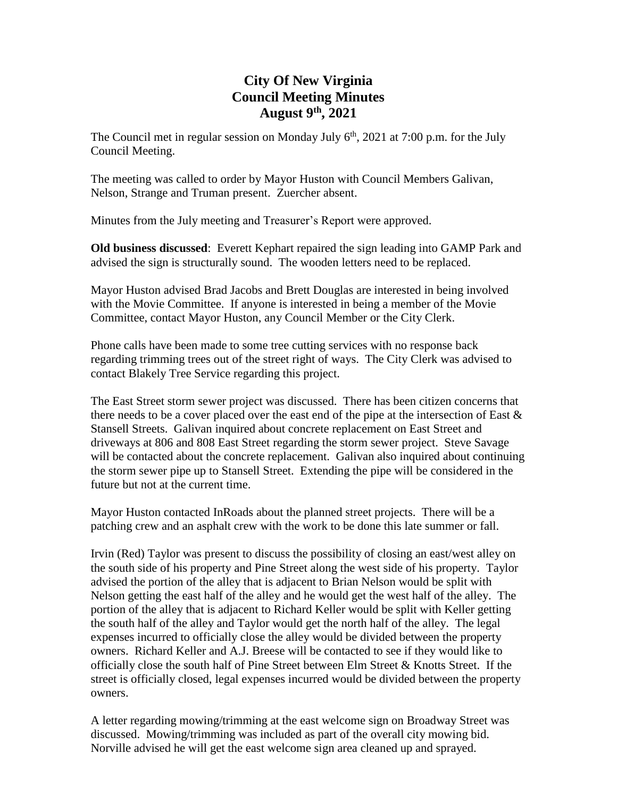## **City Of New Virginia Council Meeting Minutes August 9th , 2021**

The Council met in regular session on Monday July  $6<sup>th</sup>$ , 2021 at 7:00 p.m. for the July Council Meeting.

The meeting was called to order by Mayor Huston with Council Members Galivan, Nelson, Strange and Truman present. Zuercher absent.

Minutes from the July meeting and Treasurer's Report were approved.

**Old business discussed**: Everett Kephart repaired the sign leading into GAMP Park and advised the sign is structurally sound. The wooden letters need to be replaced.

Mayor Huston advised Brad Jacobs and Brett Douglas are interested in being involved with the Movie Committee. If anyone is interested in being a member of the Movie Committee, contact Mayor Huston, any Council Member or the City Clerk.

Phone calls have been made to some tree cutting services with no response back regarding trimming trees out of the street right of ways. The City Clerk was advised to contact Blakely Tree Service regarding this project.

The East Street storm sewer project was discussed. There has been citizen concerns that there needs to be a cover placed over the east end of the pipe at the intersection of East & Stansell Streets. Galivan inquired about concrete replacement on East Street and driveways at 806 and 808 East Street regarding the storm sewer project. Steve Savage will be contacted about the concrete replacement. Galivan also inquired about continuing the storm sewer pipe up to Stansell Street. Extending the pipe will be considered in the future but not at the current time.

Mayor Huston contacted InRoads about the planned street projects. There will be a patching crew and an asphalt crew with the work to be done this late summer or fall.

Irvin (Red) Taylor was present to discuss the possibility of closing an east/west alley on the south side of his property and Pine Street along the west side of his property. Taylor advised the portion of the alley that is adjacent to Brian Nelson would be split with Nelson getting the east half of the alley and he would get the west half of the alley. The portion of the alley that is adjacent to Richard Keller would be split with Keller getting the south half of the alley and Taylor would get the north half of the alley. The legal expenses incurred to officially close the alley would be divided between the property owners. Richard Keller and A.J. Breese will be contacted to see if they would like to officially close the south half of Pine Street between Elm Street & Knotts Street. If the street is officially closed, legal expenses incurred would be divided between the property owners.

A letter regarding mowing/trimming at the east welcome sign on Broadway Street was discussed. Mowing/trimming was included as part of the overall city mowing bid. Norville advised he will get the east welcome sign area cleaned up and sprayed.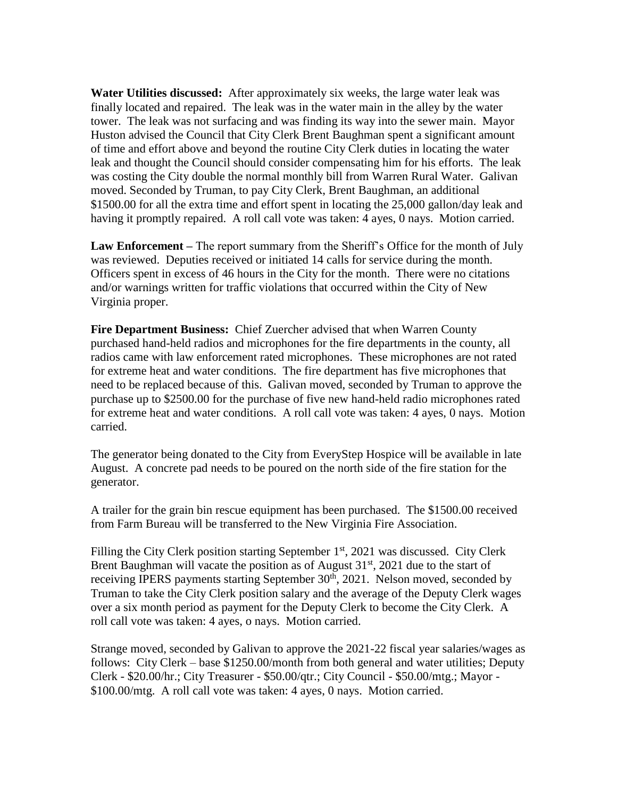**Water Utilities discussed:** After approximately six weeks, the large water leak was finally located and repaired. The leak was in the water main in the alley by the water tower. The leak was not surfacing and was finding its way into the sewer main. Mayor Huston advised the Council that City Clerk Brent Baughman spent a significant amount of time and effort above and beyond the routine City Clerk duties in locating the water leak and thought the Council should consider compensating him for his efforts. The leak was costing the City double the normal monthly bill from Warren Rural Water. Galivan moved. Seconded by Truman, to pay City Clerk, Brent Baughman, an additional \$1500.00 for all the extra time and effort spent in locating the 25,000 gallon/day leak and having it promptly repaired. A roll call vote was taken: 4 ayes, 0 nays. Motion carried.

**Law Enforcement –** The report summary from the Sheriff's Office for the month of July was reviewed. Deputies received or initiated 14 calls for service during the month. Officers spent in excess of 46 hours in the City for the month. There were no citations and/or warnings written for traffic violations that occurred within the City of New Virginia proper.

**Fire Department Business:** Chief Zuercher advised that when Warren County purchased hand-held radios and microphones for the fire departments in the county, all radios came with law enforcement rated microphones. These microphones are not rated for extreme heat and water conditions. The fire department has five microphones that need to be replaced because of this. Galivan moved, seconded by Truman to approve the purchase up to \$2500.00 for the purchase of five new hand-held radio microphones rated for extreme heat and water conditions. A roll call vote was taken: 4 ayes, 0 nays. Motion carried.

The generator being donated to the City from EveryStep Hospice will be available in late August. A concrete pad needs to be poured on the north side of the fire station for the generator.

A trailer for the grain bin rescue equipment has been purchased. The \$1500.00 received from Farm Bureau will be transferred to the New Virginia Fire Association.

Filling the City Clerk position starting September  $1<sup>st</sup>$ , 2021 was discussed. City Clerk Brent Baughman will vacate the position as of August  $31<sup>st</sup>$ , 2021 due to the start of receiving IPERS payments starting September  $30<sup>th</sup>$ , 2021. Nelson moved, seconded by Truman to take the City Clerk position salary and the average of the Deputy Clerk wages over a six month period as payment for the Deputy Clerk to become the City Clerk. A roll call vote was taken: 4 ayes, o nays. Motion carried.

Strange moved, seconded by Galivan to approve the 2021-22 fiscal year salaries/wages as follows: City Clerk – base \$1250.00/month from both general and water utilities; Deputy Clerk - \$20.00/hr.; City Treasurer - \$50.00/qtr.; City Council - \$50.00/mtg.; Mayor - \$100.00/mtg. A roll call vote was taken: 4 ayes, 0 nays. Motion carried.